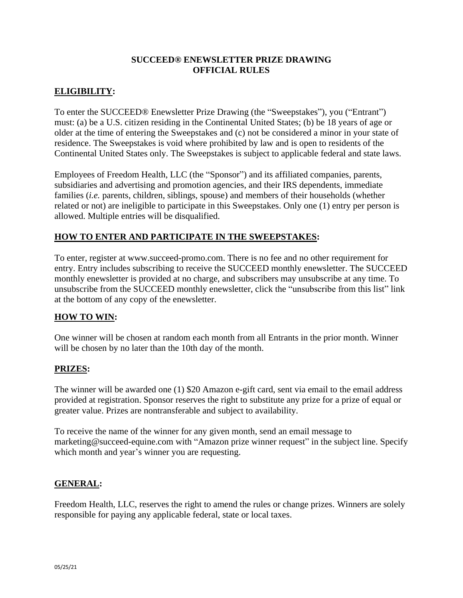#### **SUCCEED® ENEWSLETTER PRIZE DRAWING OFFICIAL RULES**

# **ELIGIBILITY:**

To enter the SUCCEED® Enewsletter Prize Drawing (the "Sweepstakes"), you ("Entrant") must: (a) be a U.S. citizen residing in the Continental United States; (b) be 18 years of age or older at the time of entering the Sweepstakes and (c) not be considered a minor in your state of residence. The Sweepstakes is void where prohibited by law and is open to residents of the Continental United States only. The Sweepstakes is subject to applicable federal and state laws.

Employees of Freedom Health, LLC (the "Sponsor") and its affiliated companies, parents, subsidiaries and advertising and promotion agencies, and their IRS dependents, immediate families (*i.e.* parents, children, siblings, spouse) and members of their households (whether related or not) are ineligible to participate in this Sweepstakes. Only one (1) entry per person is allowed. Multiple entries will be disqualified.

### **HOW TO ENTER AND PARTICIPATE IN THE SWEEPSTAKES:**

To enter, register at www.succeed-promo.com. There is no fee and no other requirement for entry. Entry includes subscribing to receive the SUCCEED monthly enewsletter. The SUCCEED monthly enewsletter is provided at no charge, and subscribers may unsubscribe at any time. To unsubscribe from the SUCCEED monthly enewsletter, click the "unsubscribe from this list" link at the bottom of any copy of the enewsletter.

### **HOW TO WIN:**

One winner will be chosen at random each month from all Entrants in the prior month. Winner will be chosen by no later than the 10th day of the month.

### **PRIZES:**

The winner will be awarded one (1) \$20 Amazon e-gift card, sent via email to the email address provided at registration. Sponsor reserves the right to substitute any prize for a prize of equal or greater value. Prizes are nontransferable and subject to availability.

To receive the name of the winner for any given month, send an email message to marketing@succeed-equine.com with "Amazon prize winner request" in the subject line. Specify which month and year's winner you are requesting.

### **GENERAL:**

Freedom Health, LLC, reserves the right to amend the rules or change prizes. Winners are solely responsible for paying any applicable federal, state or local taxes.